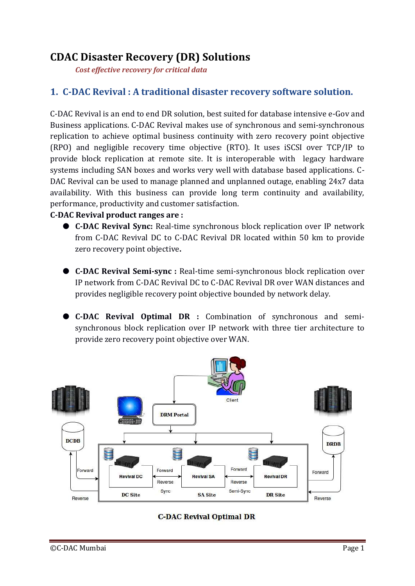# **CDAC Disaster Recovery (DR) Solutions**

*Cost effective recovery for critical data*

## **1. C-DAC Revival : A traditional disaster recovery software solution.**

C-DAC Revival is an end to end DR solution, best suited for database intensive e-Gov and Business applications. C-DAC Revival makes use of synchronous and semi-synchronous replication to achieve optimal business continuity with zero recovery point objective (RPO) and negligible recovery time objective (RTO). It uses iSCSI over TCP/IP to provide block replication at remote site. It is interoperable with legacy hardware systems including SAN boxes and works very well with database based applications. C-DAC Revival can be used to manage planned and unplanned outage, enabling 24x7 data availability. With this business can provide long term continuity and availability, performance, productivity and customer satisfaction.

#### **C-DAC Revival product ranges are :**

- **C-DAC Revival Sync:** Real-time synchronous block replication over IP network from C-DAC Revival DC to C-DAC Revival DR located within 50 km to provide zero recovery point objective**.**
- **C-DAC Revival Semi-sync :** Real-time semi-synchronous block replication over IP network from C-DAC Revival DC to C-DAC Revival DR over WAN distances and provides negligible recovery point objective bounded by network delay.
- **C-DAC Revival Optimal DR :** Combination of synchronous and semisynchronous block replication over IP network with three tier architecture to provide zero recovery point objective over WAN.



#### **C-DAC Revival Optimal DR**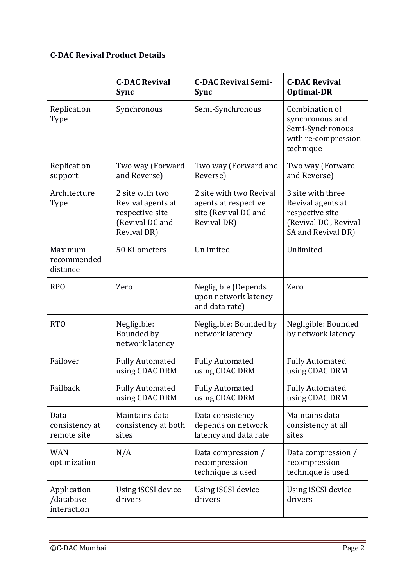## **C-DAC Revival Product Details**

|                                         | <b>C-DAC Revival</b><br><b>Sync</b>                                                       | <b>C-DAC Revival Semi-</b><br><b>Sync</b>                                              | <b>C-DAC Revival</b><br><b>Optimal-DR</b>                                                               |
|-----------------------------------------|-------------------------------------------------------------------------------------------|----------------------------------------------------------------------------------------|---------------------------------------------------------------------------------------------------------|
| Replication<br>Type                     | Synchronous                                                                               | Semi-Synchronous                                                                       | Combination of<br>synchronous and<br>Semi-Synchronous<br>with re-compression<br>technique               |
| Replication<br>support                  | Two way (Forward<br>and Reverse)                                                          | Two way (Forward and<br>Reverse)                                                       | Two way (Forward<br>and Reverse)                                                                        |
| Architecture<br><b>Type</b>             | 2 site with two<br>Revival agents at<br>respective site<br>(Revival DC and<br>Revival DR) | 2 site with two Revival<br>agents at respective<br>site (Revival DC and<br>Revival DR) | 3 site with three<br>Revival agents at<br>respective site<br>(Revival DC, Revival<br>SA and Revival DR) |
| Maximum<br>recommended<br>distance      | 50 Kilometers                                                                             | Unlimited                                                                              | Unlimited                                                                                               |
| <b>RPO</b>                              | Zero                                                                                      | Negligible (Depends<br>upon network latency<br>and data rate)                          | Zero                                                                                                    |
| <b>RTO</b>                              | Negligible:<br>Bounded by<br>network latency                                              | Negligible: Bounded by<br>network latency                                              | Negligible: Bounded<br>by network latency                                                               |
| Failover                                | <b>Fully Automated</b><br>using CDAC DRM                                                  | <b>Fully Automated</b><br>using CDAC DRM                                               | <b>Fully Automated</b><br>using CDAC DRM                                                                |
| Failback                                | <b>Fully Automated</b><br>using CDAC DRM                                                  | <b>Fully Automated</b><br>using CDAC DRM                                               | <b>Fully Automated</b><br>using CDAC DRM                                                                |
| Data<br>consistency at<br>remote site   | Maintains data<br>consistency at both<br>sites                                            | Data consistency<br>depends on network<br>latency and data rate                        | Maintains data<br>consistency at all<br>sites                                                           |
| <b>WAN</b><br>optimization              | N/A                                                                                       | Data compression /<br>recompression<br>technique is used                               | Data compression /<br>recompression<br>technique is used                                                |
| Application<br>/database<br>interaction | Using iSCSI device<br>drivers                                                             | Using iSCSI device<br>drivers                                                          | Using iSCSI device<br>drivers                                                                           |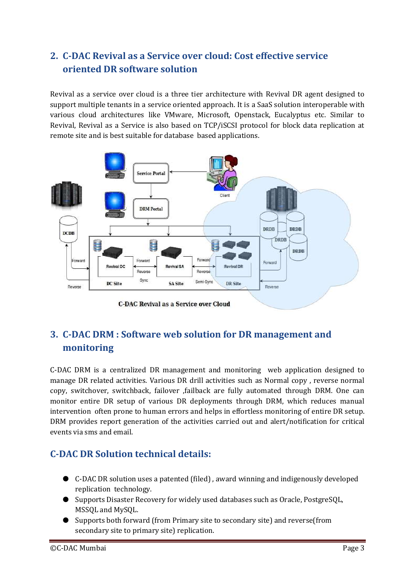## **2. C-DAC Revival as a Service over cloud: Cost effective service oriented DR software solution**

Revival as a service over cloud is a three tier architecture with Revival DR agent designed to support multiple tenants in a service oriented approach. It is a SaaS solution interoperable with various cloud architectures like VMware, Microsoft, Openstack, Eucalyptus etc. Similar to Revival, Revival as a Service is also based on TCP/iSCSI protocol for block data replication at remote site and is best suitable for database based applications.



**C-DAC Revival as a Service over Cloud** 

## **3. C-DAC DRM : Software web solution for DR management and monitoring**

C-DAC DRM is a centralized DR management and monitoring web application designed to manage DR related activities. Various DR drill activities such as Normal copy , reverse normal copy, switchover, switchback, failover ,failback are fully automated through DRM. One can monitor entire DR setup of various DR deployments through DRM, which reduces manual intervention often prone to human errors and helps in effortless monitoring of entire DR setup. DRM provides report generation of the activities carried out and alert/notification for critical events via sms and email.

## **C-DAC DR Solution technical details:**

- C-DAC DR solution uses a patented (filed), award winning and indigenously developed replication technology.
- Supports Disaster Recovery for widely used databases such as Oracle, PostgreSQL, MSSQL and MySQL.
- Supports both forward (from Primary site to secondary site) and reverse(from secondary site to primary site) replication.